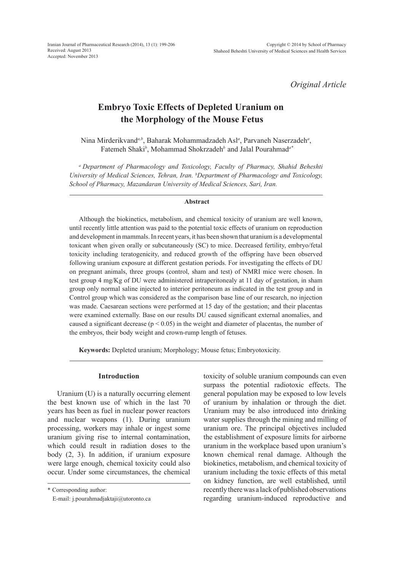*Original Article*

# **Embryo Toxic Effects of Depleted Uranium on the Morphology of the Mouse Fetus**

Nina Mirderikvand*a,b*, Baharak Mohammadzadeh Asl*<sup>a</sup>* , Parvaneh Naserzadeh*<sup>a</sup>* , Fatemeh Shaki*<sup>b</sup>* , Mohammad Shokrzadeh*<sup>b</sup>* and Jalal Pourahmad*a\**

*a Department of Pharmacology and Toxicology, Faculty of Pharmacy, Shahid Beheshti University of Medical Sciences, Tehran, Iran. b Department of Pharmacology and Toxicology, School of Pharmacy, Mazandaran University of Medical Sciences, Sari, Iran.*

#### **Abstract**

Although the biokinetics, metabolism, and chemical toxicity of uranium are well known, until recently little attention was paid to the potential toxic effects of uranium on reproduction and development in mammals. In recent years, it has been shown that uranium is a developmental toxicant when given orally or subcutaneously (SC) to mice. Decreased fertility, embryo/fetal toxicity including teratogenicity, and reduced growth of the offspring have been observed following uranium exposure at different gestation periods. For investigating the effects of DU on pregnant animals, three groups (control, sham and test) of NMRI mice were chosen. In test group 4 mg/Kg of DU were administered intraperitonealy at 11 day of gestation, in sham group only normal saline injected to interior peritoneum as indicated in the test group and in Control group which was considered as the comparison base line of our research, no injection was made. Caesarean sections were performed at 15 day of the gestation; and their placentas were examined externally. Base on our results DU caused significant external anomalies, and caused a significant decrease ( $p < 0.05$ ) in the weight and diameter of placentas, the number of the embryos, their body weight and crown-rump length of fetuses.

**Keywords:** Depleted uranium; Morphology; Mouse fetus; Embryotoxicity.

#### **Introduction**

Uranium (U) is a naturally occurring element the best known use of which in the last 70 years has been as fuel in nuclear power reactors and nuclear weapons (1). During uranium processing, workers may inhale or ingest some uranium giving rise to internal contamination, which could result in radiation doses to the body (2, 3). In addition, if uranium exposure were large enough, chemical toxicity could also occur. Under some circumstances, the chemical

\* Corresponding author:

toxicity of soluble uranium compounds can even surpass the potential radiotoxic effects. The general population may be exposed to low levels of uranium by inhalation or through the diet. Uranium may be also introduced into drinking water supplies through the mining and milling of uranium ore. The principal objectives included the establishment of exposure limits for airborne uranium in the workplace based upon uranium's known chemical renal damage. Although the biokinetics, metabolism, and chemical toxicity of uranium including the toxic effects of this metal on kidney function, are well established, until recently there was a lack of published observations regarding uranium-induced reproductive and

E-mail: j.pourahmadjaktaji@utoronto.ca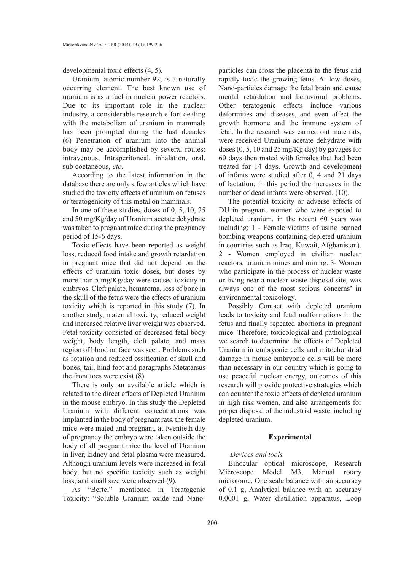developmental toxic effects (4, 5).

Uranium, atomic number 92, is a naturally occurring element. The best known use of uranium is as a fuel in nuclear power reactors. Due to its important role in the nuclear industry, a considerable research effort dealing with the metabolism of uranium in mammals has been prompted during the last decades (6) Penetration of uranium into the animal body may be accomplished by several routes: intravenous, Intraperitoneal, inhalation, oral, sub coetaneous, *etc*.

According to the latest information in the database there are only a few articles which have studied the toxicity effects of uranium on fetuses or teratogenicity of this metal on mammals.

In one of these studies, doses of 0, 5, 10, 25 and 50 mg/Kg/day of Uranium acetate dehydrate was taken to pregnant mice during the pregnancy period of 15-6 days.

Toxic effects have been reported as weight loss, reduced food intake and growth retardation in pregnant mice that did not depend on the effects of uranium toxic doses, but doses by more than 5 mg/Kg/day were caused toxicity in embryos. Cleft palate, hematoma, loss of bone in the skull of the fetus were the effects of uranium toxicity which is reported in this study (7). In another study, maternal toxicity, reduced weight and increased relative liver weight was observed. Fetal toxicity consisted of decreased fetal body weight, body length, cleft palate, and mass region of blood on face was seen. Problems such as rotation and reduced ossification of skull and bones, tail, hind foot and paragraphs Metatarsus the front toes were exist (8).

There is only an available article which is related to the direct effects of Depleted Uranium in the mouse embryo. In this study the Depleted Uranium with different concentrations was implanted in the body of pregnant rats, the female mice were mated and pregnant, at twentieth day of pregnancy the embryo were taken outside the body of all pregnant mice the level of Uranium in liver, kidney and fetal plasma were measured. Although uranium levels were increased in fetal body, but no specific toxicity such as weight loss, and small size were observed (9).

As "Bertel" mentioned in Teratogenic Toxicity: "Soluble Uranium oxide and Nanoparticles can cross the placenta to the fetus and rapidly toxic the growing fetus. At low doses, Nano-particles damage the fetal brain and cause mental retardation and behavioral problems. Other teratogenic effects include various deformities and diseases, and even affect the growth hormone and the immune system of fetal. In the research was carried out male rats, were received Uranium acetate dehydrate with doses (0, 5, 10 and 25 mg/Kg day) by gavages for 60 days then mated with females that had been treated for 14 days. Growth and development of infants were studied after 0, 4 and 21 days of lactation; in this period the increases in the number of dead infants were observed. (10).

The potential toxicity or adverse effects of DU in pregnant women who were exposed to depleted uranium. in the recent 60 years was including; 1 - Female victims of using banned bombing weapons containing depleted uranium in countries such as Iraq, Kuwait, Afghanistan). 2 - Women employed in civilian nuclear reactors, uranium mines and mining. 3- Women who participate in the process of nuclear waste or living near a nuclear waste disposal site, was always one of the most serious concerns' in environmental toxicology.

Possibly Contact with depleted uranium leads to toxicity and fetal malformations in the fetus and finally repeated abortions in pregnant mice. Therefore, toxicological and pathological we search to determine the effects of Depleted Uranium in embryonic cells and mitochondrial damage in mouse embryonic cells will be more than necessary in our country which is going to use peaceful nuclear energy, outcomes of this research will provide protective strategies which can counter the toxic effects of depleted uranium in high risk women, and also arrangements for proper disposal of the industrial waste, including depleted uranium.

### **Experimental**

### *Devices and tools*

Binocular optical microscope, Research Microscope Model M3, Manual rotary microtome, One scale balance with an accuracy of 0.1 g, Analytical balance with an accuracy 0.0001 g, Water distillation apparatus, Loop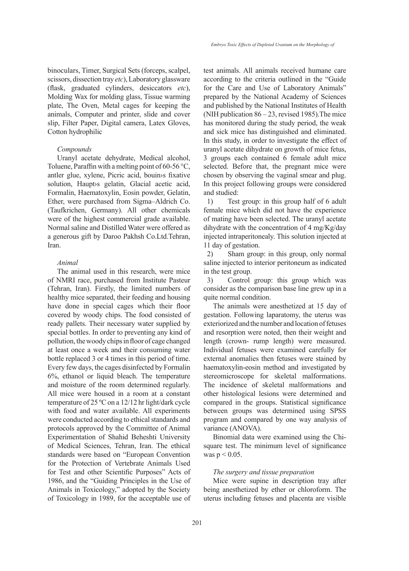binoculars, Timer, Surgical Sets (forceps, scalpel, scissors, dissection tray *etc*), Laboratory glassware (flask, graduated cylinders, desiccators *etc*), Molding Wax for molding glass, Tissue warming plate, The Oven, Metal cages for keeping the animals, Computer and printer, slide and cover slip, Filter Paper, Digital camera, Latex Gloves, Cotton hydrophilic

#### *Compounds*

Uranyl acetate dehydrate, Medical alcohol, Toluene, Paraffin with a melting point of 60-56  $\degree$ C, antler glue, xylene, Picric acid, bouin›s fixative solution, Haupt›s gelatin, Glacial acetic acid, Formalin, Haematoxylin, Eosin powder, Gelatin, Ether, were purchased from Sigma–Aldrich Co. (Taufkrichen, Germany). All other chemicals were of the highest commercial grade available. Normal saline and Distilled Water were offered as a generous gift by Daroo Pakhsh Co.Ltd.Tehran, Iran.

### *Animal*

The animal used in this research, were mice of NMRI race, purchased from Institute Pasteur (Tehran, Iran). Firstly, the limited numbers of healthy mice separated, their feeding and housing have done in special cages which their floor covered by woody chips. The food consisted of ready pallets. Their necessary water supplied by special bottles. In order to preventing any kind of pollution, the woody chips in floor of cage changed at least once a week and their consuming water bottle replaced 3 or 4 times in this period of time. Every few days, the cages disinfected by Formalin 6%, ethanol or liquid bleach. The temperature and moisture of the room determined regularly. All mice were housed in a room at a constant temperature of 25 ºC on a 12/12 hr light/dark cycle with food and water available. All experiments were conducted according to ethical standards and protocols approved by the Committee of Animal Experimentation of Shahid Beheshti University of Medical Sciences, Tehran, Iran. The ethical standards were based on "European Convention for the Protection of Vertebrate Animals Used for Test and other Scientific Purposes" Acts of 1986, and the "Guiding Principles in the Use of Animals in Toxicology," adopted by the Society of Toxicology in 1989, for the acceptable use of test animals. All animals received humane care according to the criteria outlined in the "Guide for the Care and Use of Laboratory Animals" prepared by the National Academy of Sciences and published by the National Institutes of Health (NIH publication 86 – 23, revised 1985).The mice has monitored during the study period, the weak and sick mice has distinguished and eliminated. In this study, in order to investigate the effect of uranyl acetate dihydrate on growth of mice fetus, 3 groups each contained 6 female adult mice selected. Before that, the pregnant mice were chosen by observing the vaginal smear and plug. In this project following groups were considered and studied:

1) Test group: in this group half of 6 adult female mice which did not have the experience of mating have been selected. The uranyl acetate dihydrate with the concentration of 4 mg/Kg/day injected intraperitonealy. This solution injected at 11 day of gestation.

2) Sham group: in this group, only normal saline injected to interior peritoneum as indicated in the test group.

3) Control group: this group which was consider as the comparison base line grew up in a quite normal condition.

The animals were anesthetized at 15 day of gestation. Following laparatomy, the uterus was exteriorized and the number and location of fetuses and resorption were noted, then their weight and length (crown- rump length) were measured. Individual fetuses were examined carefully for external anomalies then fetuses were stained by haematoxylin-eosin method and investigated by stereomicroscope for skeletal malformations. The incidence of skeletal malformations and other histological lesions were determined and compared in the groups. Statistical significance between groups was determined using SPSS program and compared by one way analysis of variance (ANOVA).

Binomial data were examined using the Chisquare test. The minimum level of significance was  $p < 0.05$ .

#### *The surgery and tissue preparation*

Mice were supine in description tray after being anesthetized by ether or chloroform. The uterus including fetuses and placenta are visible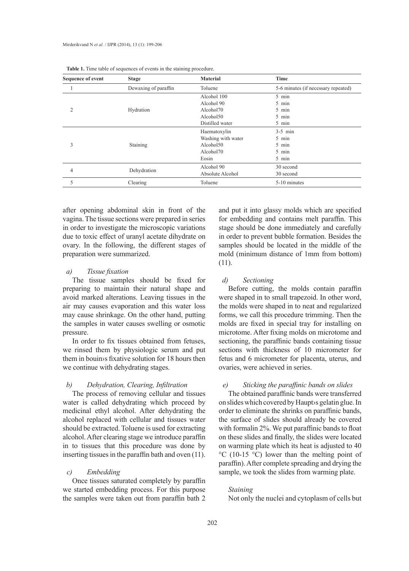| <b>Sequence of event</b> | <b>Stage</b>         | <b>Material</b>    | Time                                |
|--------------------------|----------------------|--------------------|-------------------------------------|
|                          | Dewaxing of paraffin | Toluene            | 5-6 minutes (if necessary repeated) |
| 2                        |                      | Alcohol 100        | 5 min                               |
|                          |                      | Alcohol 90         | 5 min                               |
|                          | Hydration            | Alcohol70          | 5 min                               |
|                          |                      | Alcohol50          | 5 min                               |
|                          |                      | Distilled water    | 5 min                               |
| 3                        |                      | Haematoxylin       | $3-5$ min                           |
|                          |                      | Washing with water | 5 min                               |
|                          | Staining             | Alcohol50          | 5 min                               |
|                          |                      | Alcohol70          | 5 min                               |
|                          |                      | Eosin              | 5 min                               |
| 4                        | Dehydration          | Alcohol 90         | 30 second                           |
|                          |                      | Absolute Alcohol   | 30 second                           |
| 5                        | Clearing             | Toluene            | 5-10 minutes                        |

| <b>Table 1.</b> Time table of sequences of events in the staining procedure. |  |  |
|------------------------------------------------------------------------------|--|--|
|------------------------------------------------------------------------------|--|--|

after opening abdominal skin in front of the vagina. The tissue sections were prepared in series in order to investigate the microscopic variations due to toxic effect of uranyl acetate dihydrate on ovary. In the following, the different stages of preparation were summarized.

### *a) Tissue fixation*

The tissue samples should be fixed for preparing to maintain their natural shape and avoid marked alterations. Leaving tissues in the air may causes evaporation and this water loss may cause shrinkage. On the other hand, putting the samples in water causes swelling or osmotic pressure.

In order to fix tissues obtained from fetuses, we rinsed them by physiologic serum and put them in bouin›s fixative solution for 18 hours then we continue with dehydrating stages.

## *b) Dehydration, Clearing, Infiltration*

The process of removing cellular and tissues water is called dehydrating which proceed by medicinal ethyl alcohol. After dehydrating the alcohol replaced with cellular and tissues water should be extracted. Toluene is used for extracting alcohol. After clearing stage we introduce paraffin in to tissues that this procedure was done by inserting tissues in the paraffin bath and oven (11).

## *c) Embedding*

Once tissues saturated completely by paraffin we started embedding process. For this purpose the samples were taken out from paraffin bath 2

and put it into glassy molds which are specified for embedding and contains melt paraffin. This stage should be done immediately and carefully in order to prevent bubble formation. Besides the samples should be located in the middle of the mold (minimum distance of 1mm from bottom) (11).

### *d) Sectioning*

Before cutting, the molds contain paraffin were shaped in to small trapezoid. In other word, the molds were shaped in to neat and regularized forms, we call this procedure trimming. Then the molds are fixed in special tray for installing on microtome. After fixing molds on microtome and sectioning, the paraffinic bands containing tissue sections with thickness of 10 micrometer for fetus and 6 micrometer for placenta, uterus, and ovaries, were achieved in series.

### *e) Sticking the paraffinic bands on slides*

The obtained paraffinic bands were transferred on slides which covered by Haupt›s gelatin glue. In order to eliminate the shrinks on paraffinic bands, the surface of slides should already be covered with formalin 2%. We put paraffinic bands to float on these slides and finally, the slides were located on warming plate which its heat is adjusted to 40 °C (10-15 °C) lower than the melting point of paraffin). After complete spreading and drying the sample, we took the slides from warming plate.

### *Staining*

Not only the nuclei and cytoplasm of cells but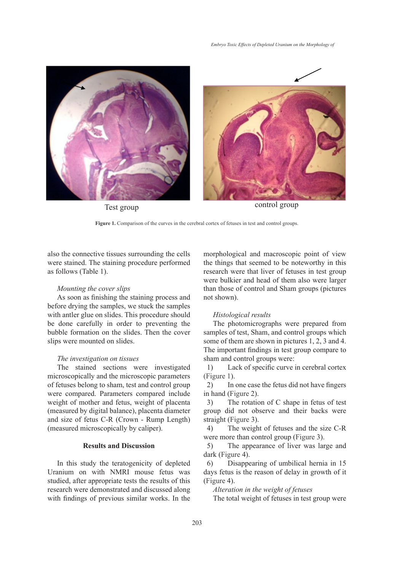



Test group control group

Figure 1. Comparison of the curves in the cerebral cortex of fetuses in test and control groups.

also the connective tissues surrounding the cells were stained. The staining procedure performed as follows (Table 1).

#### *Mounting the cover slips*

As soon as finishing the staining process and before drying the samples, we stuck the samples with antler glue on slides. This procedure should be done carefully in order to preventing the bubble formation on the slides. Then the cover slips were mounted on slides.

### *The investigation on tissues*

The stained sections were investigated microscopically and the microscopic parameters of fetuses belong to sham, test and control group were compared. Parameters compared include weight of mother and fetus, weight of placenta (measured by digital balance), placenta diameter and size of fetus C-R (Crown - Rump Length) (measured microscopically by caliper).

### **Results and Discussion**

In this study the teratogenicity of depleted Uranium on with NMRI mouse fetus was studied, after appropriate tests the results of this research were demonstrated and discussed along with findings of previous similar works. In the morphological and macroscopic point of view the things that seemed to be noteworthy in this research were that liver of fetuses in test group were bulkier and head of them also were larger than those of control and Sham groups (pictures not shown).

#### *Histological results*

The photomicrographs were prepared from samples of test, Sham, and control groups which some of them are shown in pictures 1, 2, 3 and 4. The important findings in test group compare to sham and control groups were:

1) Lack of specific curve in cerebral cortex (Figure 1).

2) In one case the fetus did not have fingers in hand (Figure 2).

3) The rotation of C shape in fetus of test group did not observe and their backs were straight (Figure 3).

4) The weight of fetuses and the size C-R were more than control group (Figure 3).

5) The appearance of liver was large and dark (Figure 4).

6) Disappearing of umbilical hernia in 15 days fetus is the reason of delay in growth of it (Figure 4).

*Alteration in the weight of fetuses*

The total weight of fetuses in test group were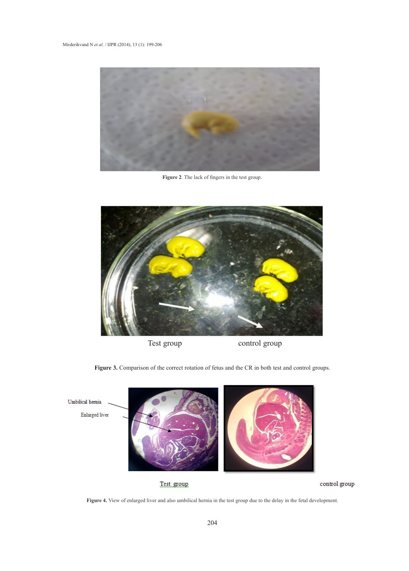

**Figure 2**. The lack of fingers in the test group.



Figure 3. Comparison of the correct rotation of fetus and the CR in both test and control groups.



**Figure 4.** View of enlarged liver and also umbilical hernia in the test group due to the delay in the fetal development.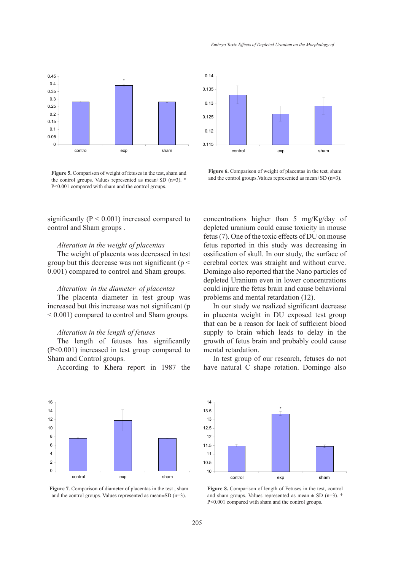

**Figure 5.** Comparison of weight of fetuses in the test, sham and the control groups. Values represented as mean±SD (n=3). \* P<0.001 compared with sham and the control groups.

significantly ( $P < 0.001$ ) increased compared to control and Sham groups .

### *Alteration in the weight of placentas*

The weight of placenta was decreased in test group but this decrease was not significant ( $p <$ 0.001) compared to control and Sham groups.

### *Alteration in the diameter of placentas*

The placenta diameter in test group was increased but this increase was not significant (p < 0.001) compared to control and Sham groups.

#### *Alteration in the length of fetuses*

The length of fetuses has significantly (P<0.001) increased in test group compared to Sham and Control groups.

According to Khera report in 1987 the



**Figure 6.** Comparison of weight of placentas in the test, sham and the control groups.Values represented as mean±SD (n=3).

concentrations higher than 5 mg/Kg/day of depleted uranium could cause toxicity in mouse fetus (7). One of the toxic effects of DU on mouse fetus reported in this study was decreasing in ossification of skull. In our study, the surface of cerebral cortex was straight and without curve. Domingo also reported that the Nano particles of depleted Uranium even in lower concentrations could injure the fetus brain and cause behavioral problems and mental retardation (12).

In our study we realized significant decrease in placenta weight in DU exposed test group that can be a reason for lack of sufficient blood supply to brain which leads to delay in the growth of fetus brain and probably could cause mental retardation.

In test group of our research, fetuses do not have natural C shape rotation. Domingo also



**Figure 7**. Comparison of diameter of placentas in the test , sham and the control groups. Values represented as mean±SD (n=3).



**Figure 8.** Comparison of length of Fetuses in the test, control and sham groups. Values represented as mean  $\pm$  SD (n=3).  $*$ P<0.001 compared with sham and the control groups.